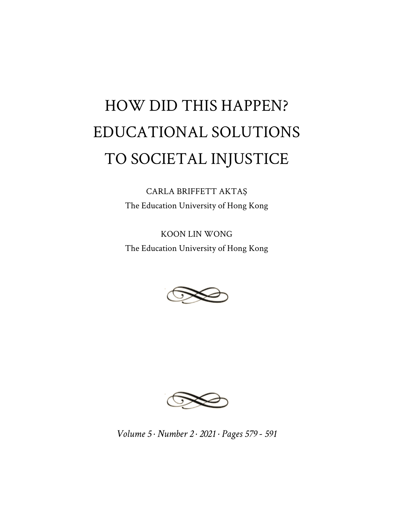## HOW DID THIS HAPPEN? EDUCATIONAL SOLUTIONS TO SOCIETAL INJUSTICE

CARLA BRIFFETT AKTAŞ The Education University of Hong Kong

KOON LIN WONG The Education University of Hong Kong





*Volume 5 · Number 2 · 2021 · Pages 579 - 591*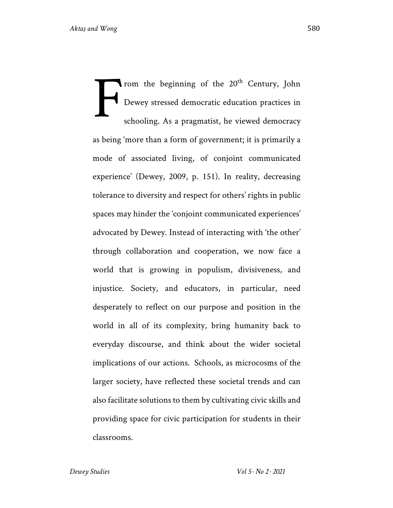rom the beginning of the 20<sup>th</sup> Century, John Dewey stressed democratic education practices in schooling. As a pragmatist, he viewed democracy as being 'more than a form of government; it is primarily a mode of associated living, of conjoint communicated experience' (Dewey, 2009, p. 151). In reality, decreasing tolerance to diversity and respect for others' rights in public spaces may hinder the 'conjoint communicated experiences' advocated by Dewey. Instead of interacting with 'the other' through collaboration and cooperation, we now face a world that is growing in populism, divisiveness, and injustice. Society, and educators, in particular, need desperately to reflect on our purpose and position in the world in all of its complexity, bring humanity back to everyday discourse, and think about the wider societal implications of our actions. Schools, as microcosms of the larger society, have reflected these societal trends and can also facilitate solutions to them by cultivating civic skills and providing space for civic participation for students in their classrooms. F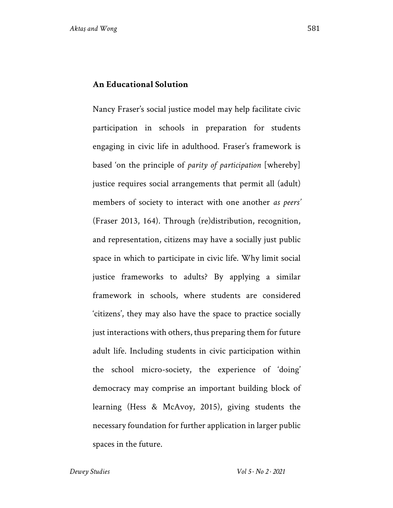## **An Educational Solution**

Nancy Fraser's social justice model may help facilitate civic participation in schools in preparation for students engaging in civic life in adulthood. Fraser's framework is based 'on the principle of *parity of participation* [whereby] justice requires social arrangements that permit all (adult) members of society to interact with one another *as peers'* (Fraser 2013, 164). Through (re)distribution, recognition, and representation, citizens may have a socially just public space in which to participate in civic life. Why limit social justice frameworks to adults? By applying a similar framework in schools, where students are considered 'citizens', they may also have the space to practice socially just interactions with others, thus preparing them for future adult life. Including students in civic participation within the school micro-society, the experience of 'doing' democracy may comprise an important building block of learning (Hess & McAvoy, 2015), giving students the necessary foundation for further application in larger public spaces in the future.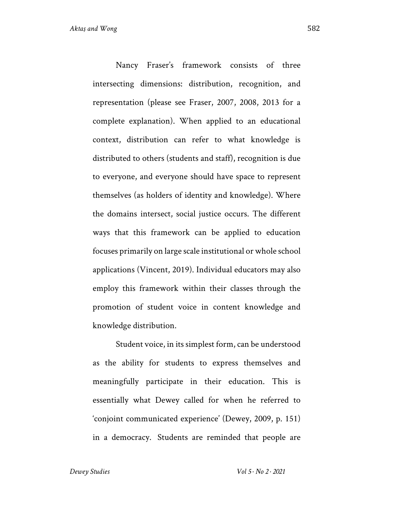Nancy Fraser's framework consists of three intersecting dimensions: distribution, recognition, and representation (please see Fraser, 2007, 2008, 2013 for a complete explanation). When applied to an educational context, distribution can refer to what knowledge is distributed to others (students and staff), recognition is due to everyone, and everyone should have space to represent themselves (as holders of identity and knowledge). Where the domains intersect, social justice occurs. The different ways that this framework can be applied to education focuses primarily on large scale institutional or whole school applications (Vincent, 2019). Individual educators may also employ this framework within their classes through the promotion of student voice in content knowledge and knowledge distribution.

Student voice, in its simplest form, can be understood as the ability for students to express themselves and meaningfully participate in their education. This is essentially what Dewey called for when he referred to 'conjoint communicated experience' (Dewey, 2009, p. 151) in a democracy. Students are reminded that people are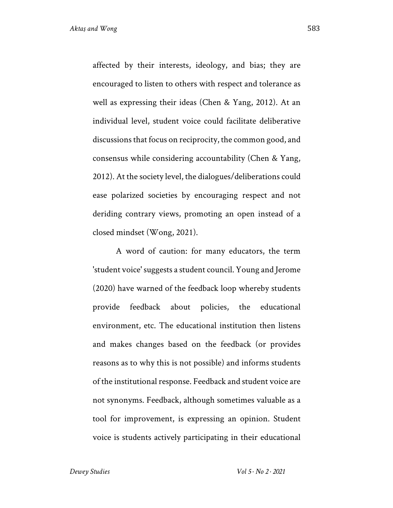affected by their interests, ideology, and bias; they are encouraged to listen to others with respect and tolerance as well as expressing their ideas (Chen & Yang, 2012). At an individual level, student voice could facilitate deliberative discussions that focus on reciprocity, the common good, and consensus while considering accountability (Chen & Yang, 2012). At the society level, the dialogues/deliberations could ease polarized societies by encouraging respect and not deriding contrary views, promoting an open instead of a closed mindset (Wong, 2021).

A word of caution: for many educators, the term 'student voice' suggests a student council. Young and Jerome (2020) have warned of the feedback loop whereby students provide feedback about policies, the educational environment, etc. The educational institution then listens and makes changes based on the feedback (or provides reasons as to why this is not possible) and informs students of the institutional response. Feedback and student voice are not synonyms. Feedback, although sometimes valuable as a tool for improvement, is expressing an opinion. Student voice is students actively participating in their educational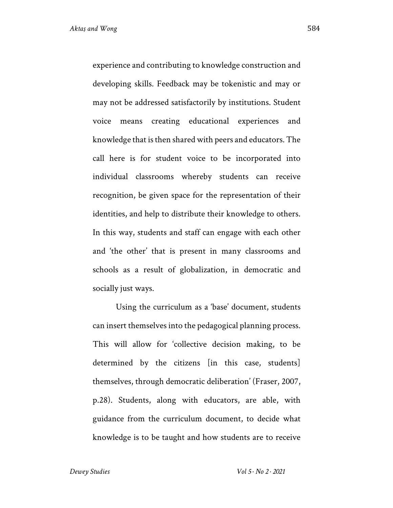experience and contributing to knowledge construction and developing skills. Feedback may be tokenistic and may or may not be addressed satisfactorily by institutions. Student voice means creating educational experiences and knowledge that is then shared with peers and educators. The call here is for student voice to be incorporated into individual classrooms whereby students can receive recognition, be given space for the representation of their identities, and help to distribute their knowledge to others. In this way, students and staff can engage with each other and 'the other' that is present in many classrooms and schools as a result of globalization, in democratic and socially just ways.

Using the curriculum as a 'base' document, students can insert themselves into the pedagogical planning process. This will allow for 'collective decision making, to be determined by the citizens [in this case, students] themselves, through democratic deliberation' (Fraser, 2007, p.28). Students, along with educators, are able, with guidance from the curriculum document, to decide what knowledge is to be taught and how students are to receive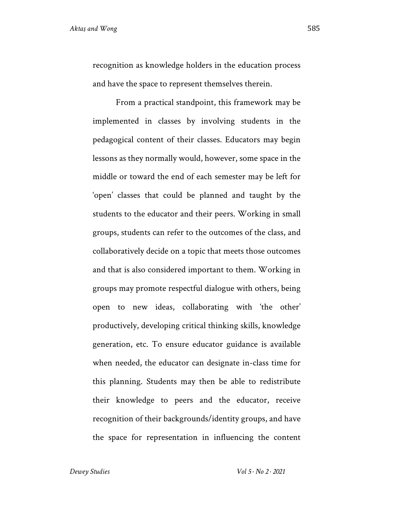recognition as knowledge holders in the education process and have the space to represent themselves therein.

From a practical standpoint, this framework may be implemented in classes by involving students in the pedagogical content of their classes. Educators may begin lessons as they normally would, however, some space in the middle or toward the end of each semester may be left for 'open' classes that could be planned and taught by the students to the educator and their peers. Working in small groups, students can refer to the outcomes of the class, and collaboratively decide on a topic that meets those outcomes and that is also considered important to them. Working in groups may promote respectful dialogue with others, being open to new ideas, collaborating with 'the other' productively, developing critical thinking skills, knowledge generation, etc. To ensure educator guidance is available when needed, the educator can designate in-class time for this planning. Students may then be able to redistribute their knowledge to peers and the educator, receive recognition of their backgrounds/identity groups, and have the space for representation in influencing the content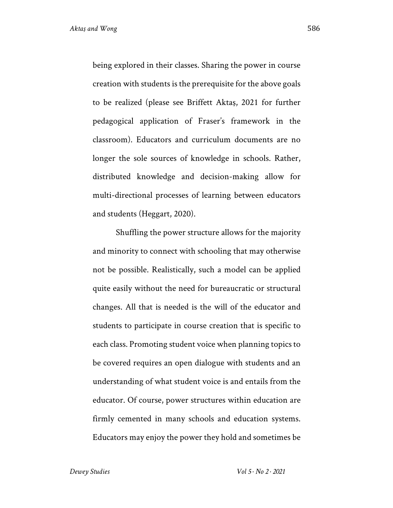being explored in their classes. Sharing the power in course creation with students is the prerequisite for the above goals to be realized (please see Briffett Aktaş, 2021 for further pedagogical application of Fraser's framework in the classroom). Educators and curriculum documents are no longer the sole sources of knowledge in schools. Rather, distributed knowledge and decision-making allow for multi-directional processes of learning between educators and students (Heggart, 2020).

Shuffling the power structure allows for the majority and minority to connect with schooling that may otherwise not be possible. Realistically, such a model can be applied quite easily without the need for bureaucratic or structural changes. All that is needed is the will of the educator and students to participate in course creation that is specific to each class. Promoting student voice when planning topics to be covered requires an open dialogue with students and an understanding of what student voice is and entails from the educator. Of course, power structures within education are firmly cemented in many schools and education systems. Educators may enjoy the power they hold and sometimes be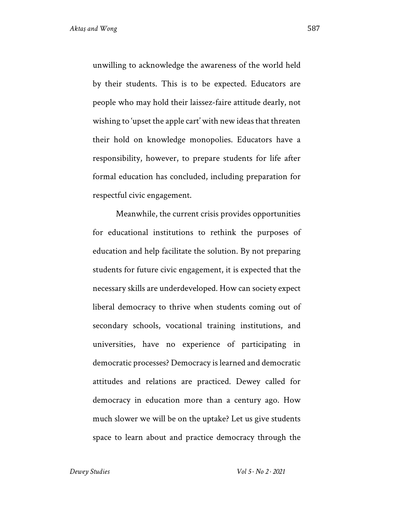unwilling to acknowledge the awareness of the world held by their students. This is to be expected. Educators are people who may hold their laissez-faire attitude dearly, not wishing to 'upset the apple cart' with new ideas that threaten their hold on knowledge monopolies. Educators have a responsibility, however, to prepare students for life after formal education has concluded, including preparation for respectful civic engagement.

Meanwhile, the current crisis provides opportunities for educational institutions to rethink the purposes of education and help facilitate the solution. By not preparing students for future civic engagement, it is expected that the necessary skills are underdeveloped. How can society expect liberal democracy to thrive when students coming out of secondary schools, vocational training institutions, and universities, have no experience of participating in democratic processes? Democracy is learned and democratic attitudes and relations are practiced. Dewey called for democracy in education more than a century ago. How much slower we will be on the uptake? Let us give students space to learn about and practice democracy through the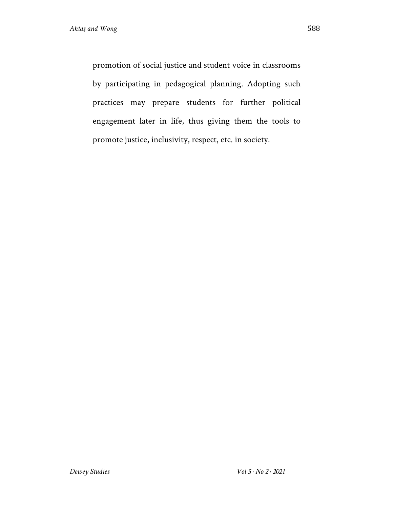promotion of social justice and student voice in classrooms by participating in pedagogical planning. Adopting such practices may prepare students for further political engagement later in life, thus giving them the tools to promote justice, inclusivity, respect, etc. in society.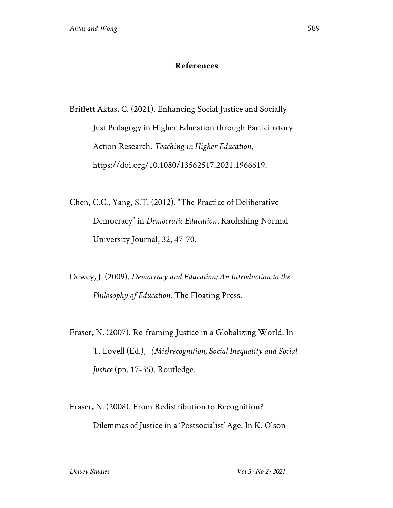## **References**

Briffett Aktaş, C. (2021). Enhancing Social Justice and Socially Just Pedagogy in Higher Education through Participatory Action Research. *Teaching in Higher Education*, https://doi.org/10.1080/13562517.2021.1966619.

Chen, C.C., Yang, S.T. (2012). "The Practice of Deliberative Democracy" in *Democratic Education*, Kaohshing Normal University Journal, 32, 47-70.

Dewey, J. (2009). *Democracy and Education: An Introduction to the Philosophy of Education*. The Floating Press.

Fraser, N. (2007). Re-framing Justice in a Globalizing World. In T. Lovell (Ed.), *(Mis)recognition, Social Inequality and Social Justice* (pp. 17-35). Routledge.

Fraser, N. (2008). From Redistribution to Recognition? Dilemmas of Justice in a 'Postsocialist' Age. In K. Olson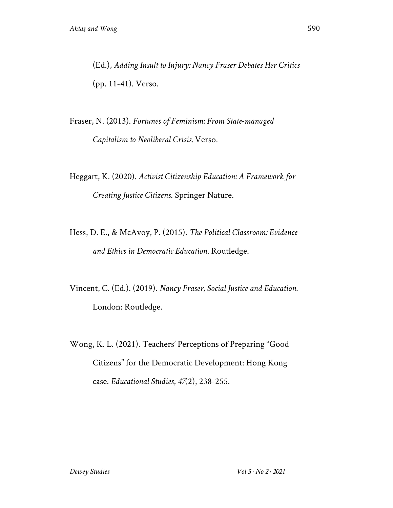(Ed.), *Adding Insult to Injury: Nancy Fraser Debates Her Critics* (pp. 11-41). Verso.

Fraser, N. (2013). *Fortunes of Feminism: From State-managed Capitalism to Neoliberal Crisis.* Verso.

Heggart, K. (2020). *Activist Citizenship Education: A Framework for Creating Justice Citizens*. Springer Nature.

Hess, D. E., & McAvoy, P. (2015). *The Political Classroom: Evidence and Ethics in Democratic Education*. Routledge.

Vincent, C. (Ed.). (2019). *Nancy Fraser, Social Justice and Education.*  London: Routledge.

Wong, K. L. (2021). Teachers' Perceptions of Preparing "Good Citizens" for the Democratic Development: Hong Kong case. *Educational Studies*, *47*(2), 238-255.